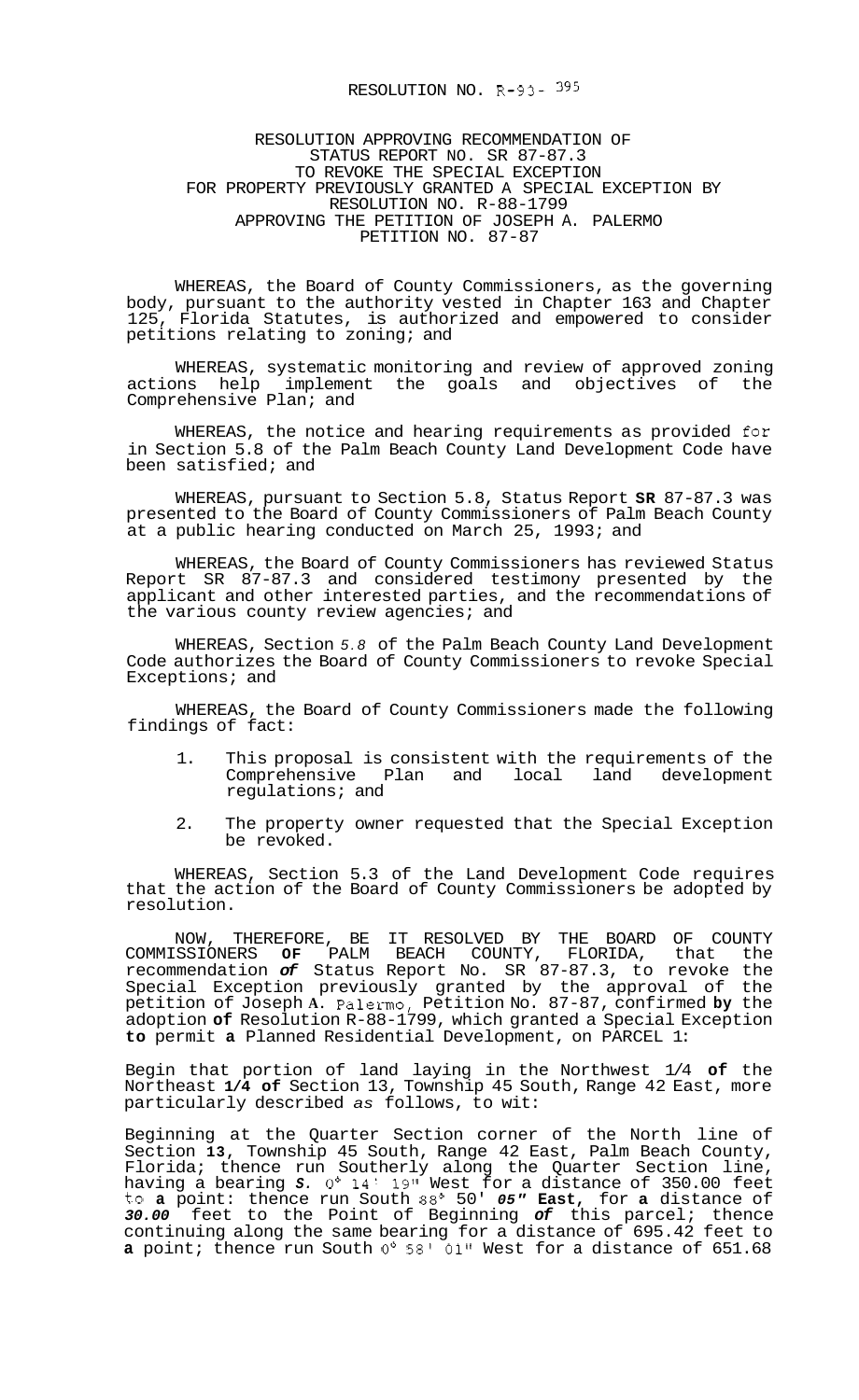## RESOLUTION NO. R-93- 395

## RESOLUTION APPROVING RECOMMENDATION OF STATUS REPORT NO. SR 87-87.3 TO REVOKE THE SPECIAL EXCEPTION RESOLUTION NO. R-88-1799 APPROVING THE PETITION OF JOSEPH A. PALERMO PETITION NO. 87-87 FOR PROPERTY PREVIOUSLY GRANTED A SPECIAL EXCEPTION BY

WHEREAS, the Board of County Commissioners, as the governing body, pursuant to the authority vested in Chapter 163 and Chapter 125, Florida Statutes, is authorized and empowered to consider petitions relating to zoning; and

WHEREAS, systematic monitoring and review of approved zoning actions help implement the goals and objectives of the Comprehensive Plan; and

WHEREAS, the notice and hearing requirements as provided for in Section 5.8 of the Palm Beach County Land Development Code have been satisfied; and

WHEREAS, pursuant to Section 5.8, Status Report **SR** 87-87.3 was presented to the Board of County Commissioners of Palm Beach County at a public hearing conducted on March 25, 1993; and

WHEREAS, the Board of County Commissioners has reviewed Status Report SR 87-87.3 and considered testimony presented by the applicant and other interested parties, and the recommendations of the various county review agencies; and

WHEREAS, Section *5.8* of the Palm Beach County Land Development Code authorizes the Board of County Commissioners to revoke Special Exceptions; and

WHEREAS, the Board of County Commissioners made the following findings of fact:

- 1. This proposal is consistent with the requirements of the Comprehensive Plan and local land development regulations; and
- 2. The property owner requested that the Special Exception be revoked.

WHEREAS, Section 5.3 of the Land Development Code requires that the action of the Board of County Commissioners be adopted by resolution.

NOW, THEREFORE, BE IT RESOLVED BY THE BOARD OF COUNTY COMMISSIONERS **OF** PALM BEACH COUNTY, FLORIDA, that the recommendation *of* Status Report No. SR 87-87.3, to revoke the Special Exception previously granted by the approval of the petition of Joseph **A.** Palermo, Petition No. 87-87, confirmed **by** the adoption **of** Resolution R-88-1799, which granted a Special Exception **to** permit **a** Planned Residential Development, on PARCEL 1:

Begin that portion of land laying in the Northwest 1/4 **of** the Northeast **1/4 of** Section 13, Township 45 South, Range 42 East, more particularly described *as* follows, to wit:

Beginning at the Quarter Section corner of the North line of Section **13,** Township 45 South, Range 42 East, Palm Beach County, Florida; thence run Southerly along the Quarter Section line, having a bearing *S. 0'* 14' **19"** West for a distance of 350.00 feet to **a** point: thence run South 88' 50' *05"* **East,** for **a** distance of *30.00* feet to the Point of Beginning *of* this parcel; thence continuing along the same bearing for a distance of 695.42 feet to **a** point; thence run South *0'* 58' 01" West for a distance of 651.68